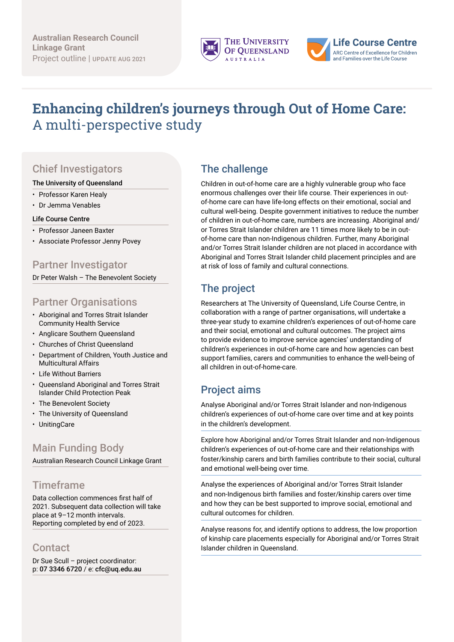



# **Enhancing children's journeys through Out of Home Care:**  A multi-perspective study

## Chief Investigators

#### The University of Queensland

- Professor Karen Healy
- Dr Jemma Venables

#### Life Course Centre

- Professor Janeen Baxter
- Associate Professor Jenny Povey

#### Partner Investigator

Dr Peter Walsh – The Benevolent Society

#### Partner Organisations

- Aboriginal and Torres Strait Islander Community Health Service
- Anglicare Southern Queensland
- Churches of Christ Queensland
- Department of Children, Youth Justice and Multicultural Affairs
- Life Without Barriers
- Queensland Aboriginal and Torres Strait Islander Child Protection Peak
- The Benevolent Society
- The University of Queensland
- UnitingCare

### Main Funding Body

Australian Research Council Linkage Grant

#### **Timeframe**

Data collection commences first half of 2021. Subsequent data collection will take place at 9–12 month intervals. Reporting completed by end of 2023.

#### **Contact**

Dr Sue Scull – project coordinator: p: 07 3346 6720 / e: cfc@uq.edu.au

#### The challenge

Children in out-of-home care are a highly vulnerable group who face enormous challenges over their life course. Their experiences in outof-home care can have life-long effects on their emotional, social and cultural well-being. Despite government initiatives to reduce the number of children in out-of-home care, numbers are increasing. Aboriginal and/ or Torres Strait Islander children are 11 times more likely to be in outof-home care than non-Indigenous children. Further, many Aboriginal and/or Torres Strait Islander children are not placed in accordance with Aboriginal and Torres Strait Islander child placement principles and are at risk of loss of family and cultural connections.

## The project

Researchers at The University of Queensland, Life Course Centre, in collaboration with a range of partner organisations, will undertake a three-year study to examine children's experiences of out-of-home care and their social, emotional and cultural outcomes. The project aims to provide evidence to improve service agencies' understanding of children's experiences in out-of-home care and how agencies can best support families, carers and communities to enhance the well-being of all children in out-of-home-care.

### Project aims

Analyse Aboriginal and/or Torres Strait Islander and non-Indigenous children's experiences of out-of-home care over time and at key points in the children's development.

Explore how Aboriginal and/or Torres Strait Islander and non-Indigenous children's experiences of out-of-home care and their relationships with foster/kinship carers and birth families contribute to their social, cultural and emotional well-being over time.

Analyse the experiences of Aboriginal and/or Torres Strait Islander and non-Indigenous birth families and foster/kinship carers over time and how they can be best supported to improve social, emotional and cultural outcomes for children.

Analyse reasons for, and identify options to address, the low proportion of kinship care placements especially for Aboriginal and/or Torres Strait Islander children in Queensland.